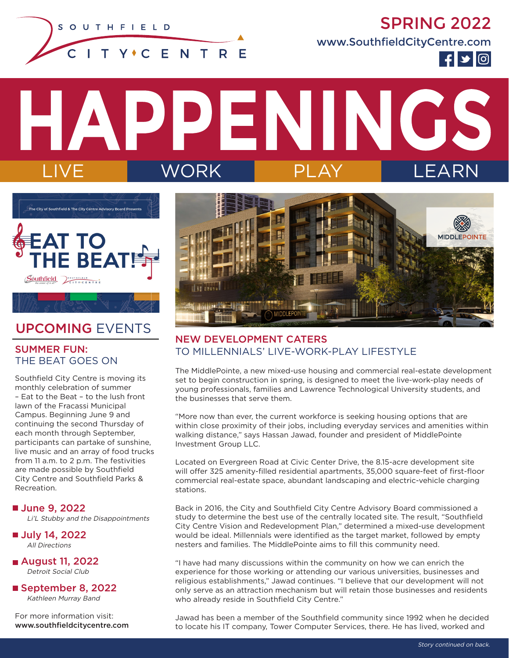

SPRING 2022

www.SouthfieldCityCentre.com



PENINGS WORK



# UPCOMING EVENTS

#### SUMMER FUN: THE BEAT GOES ON

Southfield City Centre is moving its monthly celebration of summer – Eat to the Beat – to the lush front lawn of the Fracassi Municipal Campus. Beginning June 9 and continuing the second Thursday of each month through September, participants can partake of sunshine, live music and an array of food trucks from 11 a.m. to 2 p.m. The festivities are made possible by Southfield City Centre and Southfield Parks & Recreation.

■ June 9, 2022 Li'L Stubby and the Disappointments

■ July 14, 2022 All Directions

 August 11, 2022 Detroit Social Club

■ September 8, 2022 Kathleen Murray Band

For more information visit: www.southfieldcitycentre.com



## NEW DEVELOPMENT CATERS TO MILLENNIALS' LIVE-WORK-PLAY LIFESTYLE

The MiddlePointe, a new mixed-use housing and commercial real-estate development set to begin construction in spring, is designed to meet the live-work-play needs of young professionals, families and Lawrence Technological University students, and the businesses that serve them.

"More now than ever, the current workforce is seeking housing options that are within close proximity of their jobs, including everyday services and amenities within walking distance," says Hassan Jawad, founder and president of MiddlePointe Investment Group LLC.

Located on Evergreen Road at Civic Center Drive, the 8.15-acre development site will offer 325 amenity-filled residential apartments, 35,000 square-feet of first-floor commercial real-estate space, abundant landscaping and electric-vehicle charging stations.

Back in 2016, the City and Southfield City Centre Advisory Board commissioned a study to determine the best use of the centrally located site. The result, "Southfield City Centre Vision and Redevelopment Plan," determined a mixed-use development would be ideal. Millennials were identified as the target market, followed by empty nesters and families. The MiddlePointe aims to fill this community need.

"I have had many discussions within the community on how we can enrich the experience for those working or attending our various universities, businesses and religious establishments," Jawad continues. "I believe that our development will not only serve as an attraction mechanism but will retain those businesses and residents who already reside in Southfield City Centre."

Jawad has been a member of the Southfield community since 1992 when he decided to locate his IT company, Tower Computer Services, there. He has lived, worked and